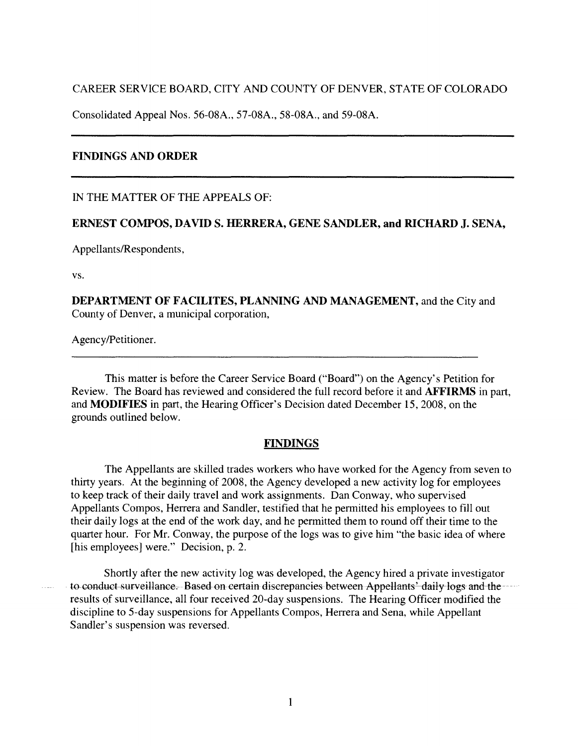CAREER SERVICE BOARD, CITY AND COUNTY OF DENVER, STATE OF COLORADO

Consolidated Appeal Nos. 56-08A., 57-08A., 58-08A., and 59-08A.

# **FINDINGS AND ORDER**

IN THE MATTER OF THE APPEALS OF:

#### **ERNEST COMPOS, DAVIDS. HERRERA, GENE SANDLER, and RICHARD J. SENA,**

Appellants/Respondents,

vs.

**DEPARTMENT OF FACILITES, PLANNING AND MANAGEMENT,** and the City and County of Denver, a municipal corporation,

Agency/Petitioner.

This matter is before the Career Service Board ("Board") on the Agency's Petition for Review. The Board has reviewed and considered the full record before it and **AFFIRMS** in part, and **MODIFIES** in part, the Hearing Officer's Decision dated December 15, 2008, on the grounds outlined below.

### **FINDINGS**

The Appellants are skilled trades workers who have worked for the Agency from seven to thirty years. At the beginning of 2008, the Agency developed a new activity log for employees to keep track of their daily travel and work assignments. Dan Conway, who supervised Appellants Compos, Herrera and Sandler, testified that he permitted his employees to fill out their daily logs at the end of the work day, and he permitted them to round off their time to the quarter hour. For **Mr.** Conway, the purpose of the logs was to give him "the basic idea of where [his employees] were." Decision, p. 2.

Shortly after the new activity log was developed, the Agency hired a private investigator to conduct surveillance.--Based on certain discrepancies between Appellants' daily logs and the results of surveillance, all four received 20-day suspensions. The Hearing Officer modified the discipline to 5-day suspensions for Appellants Compos, Herrera and Sena, while Appellant Sandler's suspension was reversed.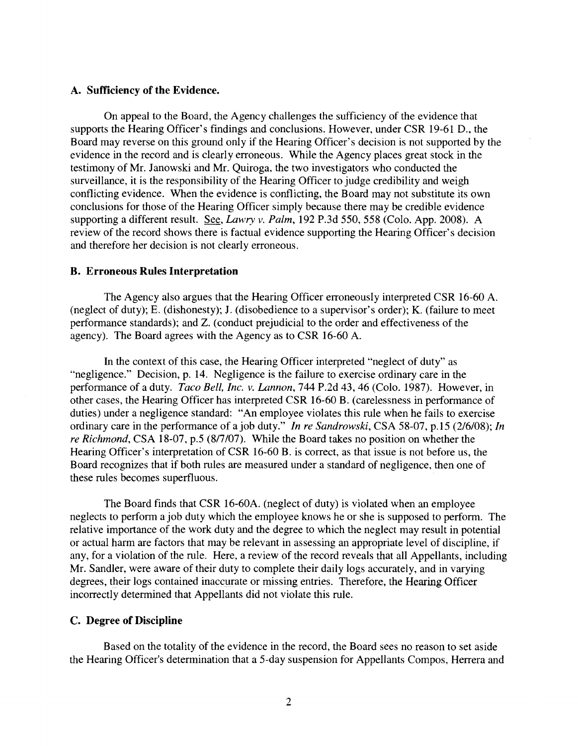### **A. Sufficiency of the Evidence.**

On appeal to the Board, the Agency challenges the sufficiency of the evidence that supports the Hearing Officer's findings and conclusions. However, under CSR 19-61 D., the Board may reverse on this ground only if the Hearing Officer's decision is not supported by the evidence in the record and is clearly erroneous. While the Agency places great stock in the testimony of Mr. Janowski and Mr. Quiroga, the two investigators who conducted the surveillance, it is the responsibility of the Hearing Officer to judge credibility and weigh conflicting evidence. When the evidence is conflicting, the Board may not substitute its own conclusions for those of the Hearing Officer simply because there may be credible evidence supporting a different result. See, *Lawry v. Palm,* 192 P.3d 550, 558 (Colo. App. 2008). A review of the record shows there is factual evidence supporting the Hearing Officer's decision and therefore her decision is not clearly erroneous.

### **B. Erroneous Rules Interpretation**

The Agency also argues that the Hearing Officer erroneously interpreted CSR 16-60 A. (neglect of duty); E. (dishonesty); J. (disobedience to a supervisor's order); K. (failure to meet performance standards); and Z. ( conduct prejudicial to the order and effectiveness of the agency). The Board agrees with the Agency as to CSR 16-60 A.

In the context of this case, the Hearing Officer interpreted "neglect of duty" as "negligence." Decision, p. 14. Negligence is the failure to exercise ordinary care in the performance of a duty. *Taco Bell, Inc. v. Lannon,* 744 P.2d 43, 46 (Colo. 1987). However, in other cases, the Hearing Officer has interpreted CSR 16-60 B. (carelessness in performance of duties) under a negligence standard: "An employee violates this rule when he fails to exercise ordinary care in the performance of a job duty." *In re Sandrowski,* CSA 58-07, p.15 (2/6/08); *In re Richmond, CSA 18-07, p.5 (8/7/07).* While the Board takes no position on whether the Hearing Officer's interpretation of CSR 16-60 B. is correct, as that issue is not before us, the Board recognizes that if both rules are measured under a standard of negligence, then one of these rules becomes superfluous.

The Board finds that CSR 16-60A. (neglect of duty) is violated when an employee neglects to perform a job duty which the employee knows he or she is supposed to perform. The relative importance of the work duty and the degree to which the neglect may result in potential or actual harm are factors that may be relevant in assessing an appropriate level of discipline, if any, for a violation of the rule. Here, a review of the record reveals that all Appellants, including Mr. Sandler, were aware of their duty to complete their daily logs accurately, and in varying degrees, their logs contained inaccurate or missing entries. Therefore, the Hearing Officer incorrectly determined that Appellants did not violate this rule.

## **C. Degree of Discipline**

Based on the totality of the evidence in the record, the Board sees no reason to set aside the Hearing Officer's determination that a 5-day suspension for Appellants Compos, Herrera and